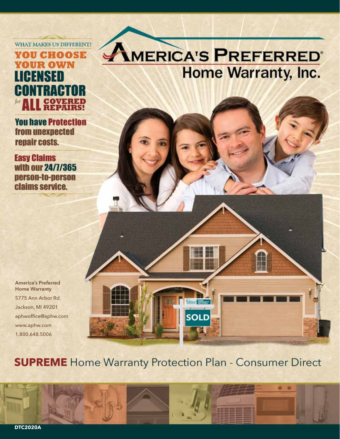**WHAT MAKES US DIFFERENT?** 

## **YOU CHOOSE YOUR OWN LICENSED CONTRACTOR** for **ALL** SQVERED

**You have Protection** from unexpected repair costs.

**Easy Claims** with our 24/7/365 person-to-person claims service.

**America's Preferred Home Warranty** 5775 Ann Arbor Rd. Jackson, MI 49201 aphwoffice@aphw.com www.aphw.com 1.800.648.5006

# AMERICA'S PREFERRED **Home Warranty, Inc.**

**SUPREME** Home Warranty Protection Plan - Consumer Direct

**SOLD** 

o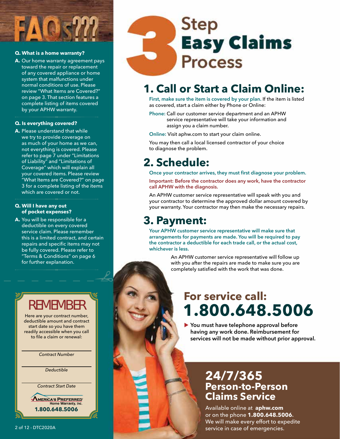### **Q. What is a home warranty?**

**A.** Our home warranty agreement pays toward the repair or replacement of any covered appliance or home system that malfunctions under normal conditions of use. Please review "What Items are Covered?" on page 3. That section features a complete listing of items covered by your APHW warranty.

### **Q. Is everything covered?**

**A.** Please understand that while we try to provide coverage on as much of your home as we can, not everything is covered. Please refer to page 7 under "Limitations of Liability" and "Limitations of Coverage" which will explain all your covered items. Please review "What Items are Covered?" on page 3 for a complete listing of the items which are covered or not.

### **Q. Will I have any out of pocket expenses?**

**A.** You will be responsible for a deductible on every covered service claim. Please remember this is a limited contract, and certain repairs and specific items may not be fully covered. Please refer to "Terms & Conditions" on page 6 for further explanation.

# **Step Easy Claims Process**

## **1. Call or Start a Claim Online:**

**First, make sure the item is covered by your plan.** If the item is listed as covered, start a claim either by Phone or Online:

**Phone:** Call our customer service department and an APHW service representative will take your information and assign you a claim number.

**Online:** Visit aphw.com to start your claim online.

You may then call a local licensed contractor of your choice to diagnose the problem.

## **2. Schedule:**

**Once your contractor arrives, they must first diagnose your problem. Important: Before the contractor does any work, have the contractor call APHW with the diagnosis.**

An APHW customer service representative will speak with you and your contractor to determine the approved dollar amount covered by your warranty. Your contractor may then make the necessary repairs.

## **3. Payment:**

**Your APHW customer service representative will make sure that arrangements for payments are made. You will be required to pay the contractor a deductible for each trade call, or the actual cost, whichever is less.** 

> An APHW customer service representative will follow up with you after the repairs are made to make sure you are completely satisfied with the work that was done.

## **1.800.648.5006 For service call:**

**You must have telephone approval before**  t**having any work done. Reimbursement for services will not be made without prior approval.**

## **24/7/365 Person-to-Person Claims Service**

Available online at **aphw.com**  or on the phone **1.800.648.5006.** We will make every effort to expedite 2 of 12 - DTC2020A **2 of 12 service in case of emergencies.** 

## REMEMBER

Here are your contract number, deductible amount and contract start date so you have them readily accessible when you call to file a claim or renewal:

*Contract Number*

*Deductible*

*Contract Start Date*

**AMERICA'S PREFERRED** me Warranty, Inc. **1.800.648.5006**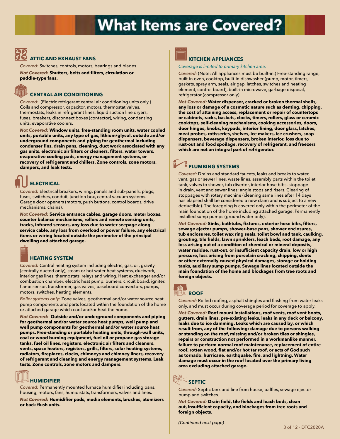# **What Items are Covered?**

### **ATTIC AND EXHAUST FANS**

*Covered:* Switches, controls, motors, bearings and blades. *Not Covered:* **Shutters, belts and filters, circulation or paddle-type fans.**

### **CENTRAL AIR CONDITIONING**

*Covered:* (Electric refrigerant central air conditioning units only.) Coils and compressor, capacitor, motors, thermostat valves, thermostats, leaks in refrigerant lines, liquid suction line dryers, fuses, breakers, disconnect boxes (contactor), wiring, condensing units, evaporative coolers.

*Not Covered:* **Window units, free-standing room units, water cooled units, portable units, any type of gas, lithium/glycol, outside and/or underground components and piping for geothermal including condenser fins, drain pans, cleaning, duct work associated with any gas units, electronic air filters or cleaners, filters, water towers, evaporative cooling pads, energy management systems, or recovery of refrigerant and chillers. Zone controls, zone motors, dampers, and leak tests.**

## **ELECTRICAL**

*Covered:* Electrical breakers, wiring, panels and sub-panels, plugs, fuses, switches, conduit, junction box, central vacuum systems. Garage door openers (motors, push buttons, control boards, drive mechanisms, chains).

*Not Covered:* **Service entrance cables, garage doors, meter boxes, counter balance mechanisms, rollers and remote sensing units, tracks, infrared sensors, any loss due to water seepage along service cable, any loss from overload or power failure, any electrical items or wiring located outside the perimeter of the principal dwelling and attached garage.**



### **HEATING SYSTEM**

*Covered:* Central heating system including electric, gas, oil, gravity (centrally ducted only), steam or hot water heat systems, ductwork, interior gas lines, thermostats, relays and wiring. Heat exchanger and/or combustion chamber, electric heat pump, burners, circuit board, igniter, flame sensor, transformer, gas valves, baseboard convectors, pumps, motors, switches, heating elements.

*Boiler systems only:* Zone valves, geothermal and/or water source heat pump components and parts located within the foundation of the home or attached garage which cool and/or heat the home.

*Not Covered:* **Outside and/or underground components and piping for geothermal and/or water source heat pumps, well pump and well pump components for geothermal and/or water source heat pumps. Free-standing or portable heating units, through-wall units, coal or wood burning equipment, fuel oil or propane gas storage tanks, fuel oil lines, registers, electronic air filters and cleaners, vents, space heaters, registers, grills, filters, solar heating systems, radiators, fireplaces, clocks, chimneys and chimney liners, recovery of refrigerant and cleaning and energy management systems. Leak tests. Zone controls, zone motors and dampers**.



## **HUMIDIFIER**

*Covered:* Permanently mounted furnace humidifier including pans, housing, motors, fans, humidistats, transformers, valves and lines.

*Not Covered:* **Humidifier pads, media elements, brushes, atomizers or back flush units.**



### **KITCHEN APPLIANCES**

*Coverage is limited to primary kitchen area.* 

*Covered:* (Note: All appliances must be built-in.) Free-standing range, built-in oven, cooktop, built-in dishwasher (pump, motor, timers, gaskets, spray arm, seals, air gap, latches, switches and heating element, control board), built-in microwave, garbage disposal, refrigerator (compressor only).

*Not Covered:* **Water dispenser, cracked or broken thermal shells, any loss or damage of a cosmetic nature such as denting, chipping, the cost of attaining access, replacement or repair of countertops or cabinets, racks, baskets, clocks, timers, rollers, glass or ceramic cooktops, self-cleaning mechanisms, cooking accessories, doors, door hinges, knobs, keypads, interior lining, door glass, latches, meat probes, rotisseries, shelves, ice makers, ice crushers, soap dispensers, beverage dispensers, broken interior, loss due to rust-out and food spoilage, recovery of refrigerant, and freezers which are not an integral part of refrigerator.**

## **EXECUTE PLUMBING SYSTEMS**

*Covered:* Drains and standard faucets, leaks and breaks to water, vent, gas or sewer lines, waste lines, assembly parts within the toilet tank, valves to shower, tub diverter, interior hose bibs, stoppage in drain, vent and sewer lines; angle stops and risers. Clearing of stoppages with rotary machine (cleaning same lines after 14 days has elapsed shall be considered a new claim and is subject to a new deductible). The foregoing is covered only within the perimeter of the main foundation of the home including attached garage. Permanently installed sump pumps (ground water only).

*Not Covered:* **Sinks, bathtubs, fixtures, exterior hose bibs, filters, sewage ejector pumps, shower-base pans, shower enclosures, tub enclosures, toilet wax ring seals, toilet bowl and tank, caulking, grouting, tile fields, lawn sprinklers, leach beds, root damage, any loss arising out of a condition of chemical or mineral deposits, water residue, rust-out, or insufficient capacity drain, low or high pressure, loss arising from porcelain cracking, chipping, dents or other externally caused physical damages, storage or holding tanks, auxiliary sump pumps. Sewage lines located outside the main foundation of the home and blockages from tree roots and foreign objects.**



*Covered:* Rolled roofing, asphalt shingles and flashing from water leaks only, and must occur during coverage period for coverage to apply.

*Not Covered:* **Roof mount installations, roof vents, roof vent boots, gutters, drain lines, pre-existing leaks, leaks in any deck or balcony, leaks due to ice damming. Leaks which are caused by, or which result from, any of the following: damage due to persons walking or standing on the roof, missing and/or broken tiles or shingles, repairs or construction not performed in a workmanlike manner, failure to perform normal roof maintenance, replacement of entire roof, rotten wood, flat and/or hot tar roof, or acts of God such as tornado, hurricane, earthquake, fire, and lightning. Water damage must occur in the roof located over the primary living area excluding attached garage.**



*Covered:* Septic tank and line from house, baffles, sewage ejector pump and switches.

*Not Covered:* **Drain field, tile fields and leach beds, clean out, insufficient capacity, and blockages from tree roots and foreign objects.**

*(Continued next page)*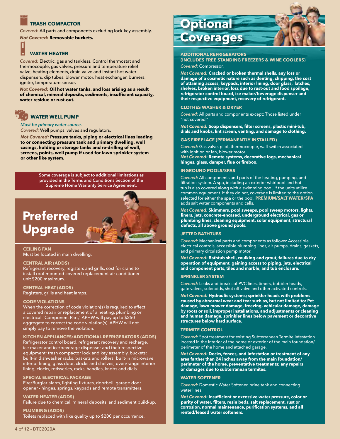### **TRASH COMPACTOR**

*Covered:* All parts and components excluding lock-key assembly.

*Not Covered:* **Removable buckets.**

## **WATER HEATER**

*Covered:* Electric, gas and tankless. Control thermostat and thermocouple, gas valves, pressure and temperature relief valve, heating elements, drain valve and instant hot water dispensers, dip tubes, blower motor, heat exchanger, burners, igniter, temperature sensor.

*Not Covered:* **Oil hot water tanks, and loss arising as a result of chemical, mineral deposits, sediments, insufficient capacity, water residue or rust-out.**

### **WATER WELL PUMP**

*Must be primary water source. Covered:* Well pumps, valves and regulators.

*Not Covered:* **Pressure tanks, piping or electrical lines leading to or connecting pressure tank and primary dwelling, well casings, holding or storage tanks and re-drilling of well, screens, points, well pump if used for lawn sprinkler system or other like system.**

> **Some coverage is subject to additional limitations as provided in the Terms and Conditions Section of the Supreme Home Warranty Service Agreement.**

## **Preferred Upgrade**

#### **CEILING FAN** Must be located in main dwelling.

#### **CENTRAL AIR (ADDS)**

Refrigerant recovery, registers and grills, cost for crane to install roof mounted covered replacement air conditioner unit \$200 maximum.

#### **CENTRAL HEAT (ADDS)**

Registers, grills and heat lamps.

#### **CODE VIOLATIONS**

When the correction of code violation(s) is required to affect a covered repair or replacement of a heating, plumbing or electrical "Component Part," APHW will pay up to \$250 aggregate to correct the code violation(s). APHW will not simply pay to remove the violation.

#### **KITCHEN APPLIANCES/ADDITIONAL REFRIGERATORS (ADDS)**

Refrigerator control board, refrigerant recovery and recharge, ice maker and ice/beverage dispenser and their respective equipment; trash compactor lock and key assembly, buckets; built-in dishwasher racks, baskets and rollers; built-in microwave interior lining, glass door, clocks and shelves; oven/range interior lining, clocks, rotisseries, racks, handles, knobs and dials.

#### **SPECIAL ELECTRICAL PACKAGE**

Fire/Burglar alarm, lighting fixtures, doorbell, garage door opener - hinges, springs, keypads and remote transmitters.

**WATER HEATER (ADDS)**

Failure due to chemical, mineral deposits, and sediment build-up.

**PLUMBING (ADDS)** Toilets replaced with like quality up to \$200 per occurrence.



### **ADDITIONAL REFRIGERATORS**

**(INCLUDES FREE STANDING FREEZERS & WINE COOLERS)**  *Covered:* Compressor.

*Not Covered:* **Cracked or broken thermal shells, any loss or damage of a cosmetic nature such as denting, chipping, the cost of attaining access, keypads, interior lining, door glass, latches, shelves, broken interior, loss due to rust-out and food spoilage, refrigerator control board, ice maker/beverage dispenser and their respective equipment, recovery of refrigerant.** 

#### **CLOTHES WASHER & DRYER**

*Covered:* All parts and components except: Those listed under "not covered."

*Not Covered:* **Soap dispensers, filter screens, plastic mini-tub, dials and knobs, lint screen, venting, and damage to clothing.**

#### **GAS FIREPLACE (PERMANENTLY INSTALLED)**

*Covered:* Gas valve, pilot, thermocouple, wall switch associated with ignition or fan, blower motor. *Not Covered:* **Remote systems, decorative logs, mechanical hinges, glass, damper, flue or firebox.**

#### **INGROUND POOLS/SPAS**

*Covered:* All components and parts of the heating, pumping, and filtration system. A spa, including an exterior whirlpool and hot tub is also covered along with a swimming pool, if the units utilize common equipment. If they do not, coverage is limited to the option selected for either the spa or the pool. **PREMIUM/SALT WATER/SPA** adds salt water components and cells.

*Not Covered:* **Skimmers, pool sweeps, pool sweep motors, lights, liners, jets, concrete-encased, underground electrical, gas or plumbing lines, cleaning equipment, solar equipment, structural defects, all above ground pools.**

#### **JETTED BATHTUBS**

*Covered:* Mechanical parts and components as follows: Accessible electrical controls, accessible plumbing lines, air pumps, drains, gaskets, and primary circulation pump motor.

*Not Covered:* **Bathtub shell, caulking and grout, failures due to dry operation of equipment, gaining access to piping, jets, electrical and component parts, tiles and marble, and tub enclosure.**

#### **SPRINKLER SYSTEM**

*Covered:* Leaks and breaks of PVC lines, timers, bubbler heads, gate valves, solenoids, shut off valve and other activated controls.

*Not Covered:* **Hydraulic systems; sprinkler heads with problems caused by abnormal wear and tear such as, but not limited to: Pet damage, lawn mower damage, freezing, vehicular damage, damage by roots or soil, improper installations, and adjustments or cleaning and human damage, sprinkler lines below pavement or decorative structures below hard surface.** 

#### **TERMITE CONTROL**

*Covered:* Spot treatment for existing Subterranean Termite infestation located in the interior of the home or exterior of the main foundation/ perimeter of the home and attached garage.

*Not Covered:* **Decks, fences, and infestation or treatment of any area farther than 24 inches away from the main foundation/ perimeter of the home, preventative treatments; any repairs or damages due to subterranean termites.** 

#### **WATER SOFTENER**

*Covered:* Domestic Water Softener, brine tank and connecting water lines.

*Not Covered:* **Insufficient or excessive water pressure, color or purity of water, filters, resin beds, salt replacement, rust or corrosion, normal maintenance, purification systems, and all rented/leased water softeners.**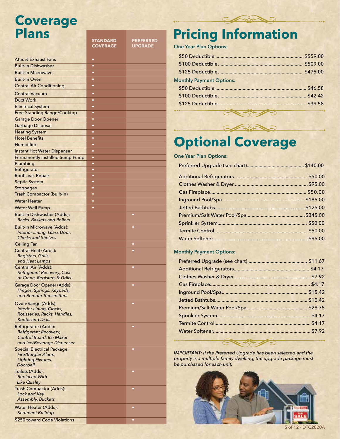## **Coverage Plans**

|                                                        | <b>STANDARD</b><br><b>COVERAGE</b> | <b>PREFERRED</b><br><b>UPGRADE</b> |
|--------------------------------------------------------|------------------------------------|------------------------------------|
|                                                        |                                    |                                    |
| Attic & Exhaust Fans                                   | ٠                                  |                                    |
| <b>Built-In Dishwasher</b>                             | $\bullet$                          |                                    |
| <b>Built-In Microwave</b>                              | $\bullet$                          |                                    |
| <b>Built-In Oven</b>                                   | $\bullet$                          |                                    |
| <b>Central Air Conditioning</b>                        | $\bullet$                          |                                    |
| <b>Central Vacuum</b>                                  | ٠                                  |                                    |
| Duct Work                                              | $\bullet$                          |                                    |
| <b>Electrical System</b>                               | $\bullet$                          |                                    |
| <b>Free-Standing Range/Cooktop</b>                     | $\bullet$                          |                                    |
| <b>Garage Door Opener</b>                              | $\bullet$                          |                                    |
| <b>Garbage Disposal</b>                                | ٠                                  |                                    |
| <b>Heating System</b>                                  | $\bullet$                          |                                    |
| <b>Hotel Benefits</b>                                  | $\bullet$                          |                                    |
| Humidifier                                             | $\bullet$                          |                                    |
| <b>Instant Hot Water Dispenser</b>                     | ٠                                  |                                    |
| <b>Permanently Installed Sump Pump</b>                 | $\bullet$                          |                                    |
| Plumbing                                               | $\bullet$                          |                                    |
| Refrigerator                                           | $\bullet$<br>$\bullet$             |                                    |
| <b>Roof Leak Repair</b><br><b>Septic System</b>        | $\bullet$                          |                                    |
| Stoppages                                              | $\bullet$                          |                                    |
| Trash Compactor (built-in)                             | $\bullet$                          |                                    |
| <b>Water Heater</b>                                    | ٠                                  |                                    |
| <b>Water Well Pump</b>                                 | $\bullet$                          |                                    |
| <b>Built-in Dishwasher (Adds):</b>                     |                                    | $\bullet$                          |
| <b>Racks, Baskets and Rollers</b>                      |                                    |                                    |
| <b>Built-in Microwave (Adds):</b>                      |                                    | $\bullet$                          |
| Interior Lining, Glass Door,                           |                                    |                                    |
| <b>Clocks and Shelves</b>                              |                                    |                                    |
| <b>Ceiling Fan</b>                                     |                                    | ۰                                  |
| <b>Central Heat (Adds):</b>                            |                                    |                                    |
| <b>Registers, Grills</b>                               |                                    |                                    |
| and Heat Lamps<br><b>Central Air (Adds):</b>           |                                    | $\bullet$                          |
| <b>Refrigerant Recovery, Cost</b>                      |                                    |                                    |
| of Crane, Registers & Grills                           |                                    |                                    |
| Garage Door Opener (Adds):                             |                                    | ٠                                  |
| Hinges, Springs, Keypads,                              |                                    |                                    |
| and Remote Transmitters                                |                                    |                                    |
| Oven/Range (Adds):                                     |                                    |                                    |
| Interior Lining, Clocks,                               |                                    |                                    |
| Rotisseries, Racks, Handles,<br><b>Knobs and Dials</b> |                                    |                                    |
|                                                        |                                    |                                    |
| Refrigerator (Adds):<br>Refrigerant Recovery,          |                                    | ۰                                  |
| Control Board, Ice Maker                               |                                    |                                    |
| and Ice/Beverage Dispenser                             |                                    |                                    |
| <b>Special Electrical Package:</b>                     |                                    | $\bullet$                          |
| Fire/Burglar Alarm,                                    |                                    |                                    |
| <b>Lighting Fixtures,</b><br>Doorbell                  |                                    |                                    |
| Toilets (Adds):                                        |                                    | ۰                                  |
| <b>Replaced With</b>                                   |                                    |                                    |
| Like Quality                                           |                                    |                                    |
| <b>Trash Compactor (Adds):</b>                         |                                    | $\bullet$                          |
| Lock and Key                                           |                                    |                                    |
| <b>Assembly, Buckets</b>                               |                                    |                                    |
| Water Heater (Adds):                                   |                                    | c                                  |
| <b>Sediment Buildup</b>                                |                                    |                                    |
| \$250 toward Code Violations                           |                                    | c                                  |

# **Pricing Information**

**One Year Plan Options:**

| <b>Monthly Payment Options:</b>                                                                                                                                                                                                    |  |
|------------------------------------------------------------------------------------------------------------------------------------------------------------------------------------------------------------------------------------|--|
|                                                                                                                                                                                                                                    |  |
|                                                                                                                                                                                                                                    |  |
|                                                                                                                                                                                                                                    |  |
| $\bullet$ . The contract of the contract of the contract of the contract of the contract of the contract of the contract of the contract of the contract of the contract of the contract of the contract of the contract of the co |  |

**SASS** 

# **Optional Coverage**

**One Year Plan Options:**

### **Monthly Payment Options:**

*IMPORTANT: If the Preferred Upgrade has been selected and the property is a multiple family dwelling, the upgrade package must be purchased for each unit.*

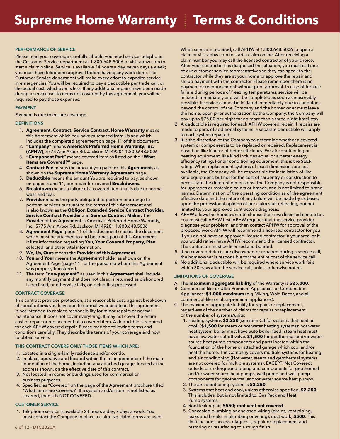#### **PERFORMANCE OF SERVICE**

Please read your coverage carefully. Should you need service, telephone the Customer Service department at 1-800-648-5006 or visit aphw.com to start a claim online. Service is available 24 hours a day, seven days a week; you must have telephone approval before having any work done. The Customer Service department will make every effort to expedite service in emergencies. You will be required to pay a deductible per trade call, or the actual cost, whichever is less. If any additional repairs have been made during a service call to items not covered by this agreement, you will be required to pay those expenses.

#### **PAYMENT**

Payment is due to ensure coverage.

#### **DEFINITIONS**

- 1. **Agreement, Contract, Service Contract, Home Warranty** means this Agreement which You have purchased from Us and which includes the completed agreement on page 11 of this document.
- 2. **"Company"** means **America's Preferred Home Warranty, Inc. (APHW)**, 5775 Ann Arbor Rd. Jackson MI 49201 1.800.648.5006
- 3. **"Component Part"** means covered item as listed on the **"What Items are Covered?"** page.
- 4. **Contract Fee** means the amount you paid for this **Agreement,** as shown on the **Supreme Home Warranty Agreement** page.
- 5. **Deductible** means the amount You are required to pay, as shown on pages 5 and 11, per repair for covered **Breakdowns**.
- 6. **Breakdown** means a failure of a covered item that is due to normal wear and tear.
- 7. **Provider** means the party obligated to perform or arrange to perform services pursuant to the terms of this **Agreement** and is also known as the **Obligor, Extended Service Contract Provider, Service Contract Provider** and **Service Contract Maker.** The **Provider** of this **Agreement** is America's Preferred Home Warranty, Inc., 5775 Ann Arbor Rd. Jackson MI 49201 1.800.648.5006
- 8. **Agreement Page** (page 11 of this document) means the document which must be attached to and becomes part of this **Agreement**. It lists information regarding **You, Your Covered Property, Plan** selected, and other vital information.
- 9. **We, Us, Ours** means the **Provider of this Agreement**.
- 10. **You** and **Your** means the **Agreement** holder as shown on the Agreement Page (page 11), or the person to whom this Agreement was properly transferred.
- 11. The term **"non-payment"** as used in this **Agreement** shall include any monthly payment that does not clear, is returned as dishonored, is declined, or otherwise fails, on being first processed.

#### **CONTRACT COVERAGE**

This contract provides protection, at a reasonable cost, against breakdown of specific items you have due to normal wear and tear. This agreement is not intended to replace responsibility for minor repairs or normal maintenance. It does not cover everything. It may not cover the entire cost of repair or replacement of a covered item. A deductible is required for each APHW covered repair. Please read the following terms and conditions carefully. They describe the terms of your coverage and how to obtain service.

#### **THIS CONTRACT COVERS ONLY THOSE ITEMS WHICH ARE:**

- 1. Located in a single-family residence and/or condo.
- 2. In place, operative and located within the main perimeter of the main foundation of the home, including any attached garage, located at the address shown, on the effective date of this contract.
- 3. Not located in rooms or buildings used for commercial or business purposes.
- 4. Specified as "Covered" on the page of the Agreement brochure titled "What Items are Covered?" If a system and/or item is not listed as covered, then it is NOT COVERED.

#### **CUSTOMER SERVICE**

1. Telephone service is available 24 hours a day, 7 days a week. You must contact the Company to place a claim. No claim forms are used. When service is required, call APHW at 1.800.648.5006 to open a claim or visit aphw.com to start a claim online. After receiving a claim number you may call the licensed contractor of your choice. After your contractor has diagnosed the situation, you must call one of our customer service representatives so they can speak to the contractor while they are at your home to approve the repair and set up payment with the contractor. Please remember, there is no payment or reimbursement without prior approval. In case of furnace failure during periods of freezing temperatures, service will be initiated immediately and will be completed as soon as reasonably possible. If service cannot be initiated immediately due to conditions beyond the control of the Company and the homeowner must leave the home, upon prior authorization by the Company, the Company will pay up to \$75.00 per night for no more than a three-night hotel stay.

- 2. A deductible is required for each APHW covered repair. If repairs are made to parts of additional systems, a separate deductible will apply to each system repaired.
- 3. It is the discretion of the Company to determine whether a covered system or component is to be replaced or repaired. Replacement is based on like kind or of better efficiency. For air conditioning or heating equipment, like kind includes equal or a better energy efficiency rating. For air conditioning equipment, this is the SEER rating. When replacement systems of exact dimensions are not available, the Company will be responsible for installation of like kind equipment, but not for the cost of carpentry or construction to necessitate the different dimensions. The Company is not responsible for upgrades or matching colors or brands, and is not limited to brand names. Determination of the operating condition as of the agreement effective date and the nature of any failure will be made by us based upon the professional opinion of our claim staff reflecting, but not limited to, your approved contractor's diagnosis.
- 4. APHW allows the homeowner to choose their own licensed contractor. You must call APHW first. APHW requires that the service provider diagnose your problem, and then contact APHW for approval of the proposed work. APHW will recommend a licensed contractor for you if you do not have an approved licensed contractor in your area, or if you would rather have APHW recommend the licensed contractor. The contractor must be licensed and bonded.
- 5. If no covered defects are discovered or repaired during a service call, the homeowner is responsible for the entire cost of the service call.
- 6. No additional deductible will be required where service work fails within 30 days after the service call, unless otherwise noted.

#### **LIMITATIONS OF COVERAGE**

- A. The **maximum aggregate liability** of the Warranty is **\$25,000**.
- B. Commercial-like or Ultra-Premium Appliances or Combination Appliances: **\$1,000 maximum** (e.g. Viking, Wolf, Dacor, and all commercial-like or ultra-premium appliances).
- C. The maximum aggregate liability for repairs or replacement, regardless of the number of claims for repairs or replacement, or the number of systems/units:
	- 1. Heating systems **\$2,250** (see item C3 for systems that heat or cool) (**\$1,500** for steam or hot water heating systems): hot water heat system boiler must have auto boiler feed; steam heat must have low water cut-off valve. **\$1,500** for geothermal and/or water source heat pump components and parts located within the foundation of the home or attached garage which cool and/or heat the home. The Company covers multiple systems for heating and air conditioning (Hot water, steam and geothermal systems are not covered for multiple systems). EXCEPT: Not Covered: outside or underground piping and components for geothermal and/or water source heat pumps, well pump and well pump components for geothermal and/or water source heat pumps.
	- 2. The air conditioning system is **\$2,250**.
	- 3. Systems that heat and cool, unless otherwise specified, **\$2,250**. This includes, but is not limited to, Gas Pack and Heat Pump systems.
	- 4. Roof leak repair, **\$550; roof vent not covered**.
	- 5. Concealed plumbing or enclosed wiring (drains, vent piping, leaks and breaks in plumbing or wiring), duct work, **\$500**. This limit includes access, diagnosis, repair or replacement and restoring or resurfacing to a rough finish.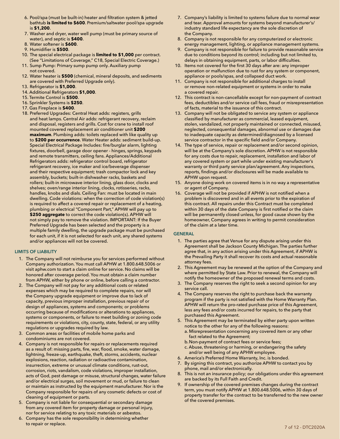- 6. Pool/spa (must be built-in) heater and filtration system & jetted bathtub **is limited to \$600**. Premium/saltwater pool/spa upgrade is **\$1,200**.
- 7. Washer and dryer, water well pump (must be primary source of water), and septic is **\$400**.
- 8. Water softener is **\$600**.
- 9. Humidifier is **\$500**.
- 10. The special electrical package is **limited to \$1,000** per contract. (See "Limitations of Coverage," C18, Special Electric Coverage.)
- 11. Sump Pump: Primary sump pump only. Auxiliary pump not covered.
- 12. Water heater is **\$500** (chemical, mineral deposits, and sediments are covered with Preferred Upgrade only).
- 13. Refrigerator is **\$1,000**.
- 14. Additional Refrigerators **\$1,000**.
- 15. Termite Control is **\$500**.
- 16. Sprinkler Systems is **\$250**.
- 17. Gas Fireplace is **\$400**.
- 18. Preferred Upgrades: Central Heat adds: registers, grills and heat lamps. Central Air adds: refrigerant recovery, reclaim and disposal, registers and grills. Cost for crane to install roof mounted covered replacement air conditioner unit **\$200 maximum**. Plumbing adds: toilets replaced with like quality up to **\$200 per occurrence**. Water Heater adds: sediment build-up. Special Electrical Package Includes: fire/burglar alarm, lighting fixtures, doorbell, garage door opener - hinges, springs, keypads and remote transmitters, ceiling fans. Appliances/Additional Refrigerators adds: refrigerator control board, refrigerator refrigerant recovery, ice maker and ice/beverage dispenser and their respective equipment; trash compactor lock and key assembly, buckets; built-in dishwasher racks, baskets and rollers; built-in microwave interior lining, glass door, clocks and shelves; oven/range interior lining, clocks, rotisseries, racks, handles, knobs and dials. Ceiling Fan: must be located in main dwelling. Code violations: when the correction of code violation(s) is required to affect a covered repair or replacement of a heating, plumbing or electrical "Component Part," APHW will pay up to **\$250 aggregate** to correct the code violation(s). APHW will not simply pay to remove the violation. IMPORTANT: If the Buyer Preferred Upgrade has been selected and the property is a multiple family dwelling, the upgrade package must be purchased for each unit, if it is not selected for each unit, any shared systems and/or appliances will not be covered.

#### **LIMITS OF LIABILITY**

- 1. The Company will not reimburse you for services performed without Company authorization. You must call APHW at 1.800.648.5006 or visit aphw.com to start a claim online for service. No claims will be honored after coverage period. You must obtain a claim number from APHW, either by phone or online, before calling a contractor.
- 2. The Company will not pay for any additional costs or related expenses which may be required to complete repairs, nor will the Company upgrade equipment or improve due to lack of capacity, previous improper installation, previous repair of or design of appliances, systems and components; or problems occurring because of modifications or alterations to appliances, systems or components, or failure to meet building or zoning code requirements or violations, city, county, state, federal, or any utility regulations or upgrades required by law.
- 3. Common areas or facilities of mobile home parks and condominiums are not covered.
- 4. Company is not responsible for repairs or replacements required as a result of: missing parts, fire, war, flood, smoke, water damage, lightning, freeze-up, earthquake, theft, storms, accidents, nuclear explosions, reaction, radiation or radioactive contamination, insurrection, extreme or unusual climate conditions, rust-out, corrosion, riots, vandalism, code violations, improper installation, acts of God, pest damage or misuse, structural changes, water failure and/or electrical surges, soil movement or mud, or failure to clean or maintain as instructed by the equipment manufacturer. Nor is the Company responsible for repairs of any cosmetic defects or cost of cleaning of equipment or parts.
- 5. Company is not liable for consequential or secondary damage from any covered item for property damage or personal injury, nor for service relating to any toxic materials or asbestos.
- 6. Company has the sole responsibility in determining whether to repair or replace.
- 7. Company's liability is limited to systems failure due to normal wear and tear. Approval amounts for systems beyond manufacturer's/ industry standard life expectancy are the sole discretion of the Company.
- 8. Company is not responsible for any computerized or electronic energy management, lighting, or appliance management systems.
- 9. Company is not responsible for failure to provide reasonable service due to conditions beyond its control; including but not limited to, delays in obtaining equipment, parts, or labor difficulties.
- 10. Items not covered for the first 30 days after are: any improper operation or malfunction due to rust for any system or component, appliance or pools/spas, and collapsed duct work.
- 11. Company is not responsible for additional charges to install or remove non-related equipment or systems in order to make a covered repair.
- 12. This contract is non-cancellable except for non-payment of contract fees, deductibles and/or service call fees, fraud or misrepresentation of facts, material to the issuance of this contract.
- 13. Company will not be obligated to service any system or appliance classified by manufacturer as commercial, leased equipment, stolen, vandalized, not properly maintained or connected, misused, neglected, consequential damages, abnormal use or damages due to inadequate capacity as determined/diagnosed by a licensed service contractor in the specific field and/or Company.
- 14. The type of service, repair or replacement and/or second opinion, will be at the Company's sole discretion. APHW is not responsible for any costs due to repair, replacement, installation and labor of any covered system or part while under existing manufacturer's warranty or third party service plan/agreement. Any inspections, reports, findings and/or disclosures will be made available to APHW upon request.
- 15. Anyone doing work on covered items is in no way a representative or agent of Company.
- 16. Coverage will not be provided if APHW is not notified when a problem is discovered and in all events prior to the expiration of this contract. All repairs under this Contract must be completed within 30 days of the date Company is first notified or the claim will be permanently closed unless, for good cause shown by the homeowner, Company agrees in writing to permit consideration of the claim at a later time.

#### **GENERAL**

- 1. The parties agree that Venue for any dispute arising under this Agreement shall be Jackson County Michigan. The parties further agree that, in any action arising under this Agreement, if APHW is the Prevailing Party it shall recover its costs and actual reasonable attorney fees.
- 2. This Agreement may be renewed at the option of the Company and where permitted by State Law. Prior to renewal, the Company will notify the homeowner of the proposed renewal terms and costs.
- 3. The Company reserves the right to seek a second opinion for any service call.
- 4. The Company reserves the right to purchase back the warranty program if the party is not satisfied with the Home Warranty Plan. APHW will return the pro-rated purchase price of this Agreement, less any fees and/or costs incurred for repairs, to the party that purchased this Agreement.
- 5. This Agreement may be terminated by either party upon written notice to the other for any of the following reasons:
	- a. Misrepresentation concerning any covered item or any other fact related to the Agreement;
	- b.Non-payment of contract fees or service fees;
- c. Abuse, threatening or harming, or endangering the safety and/or well being of any APHW employee.
- 6. America's Preferred Home Warranty, Inc. is bonded.
- 7. By signing this contract, you authorize APHW to contact you by phone, mail and/or electronically.
- 8. This is not an insurance policy; our obligations under this agreement are backed by its Full Faith and Credit.
- 9. If ownership of the covered premises changes during the contract term, you must notify APHW at 1.800.648.5006, within 30 days of property transfer for the contract to be transferred to the new owner of the covered premises.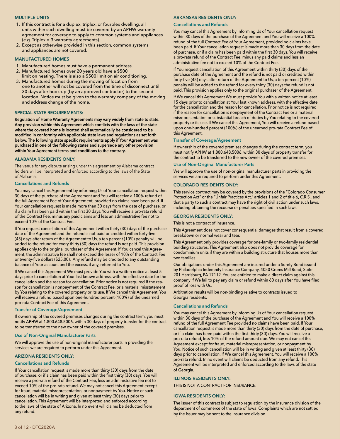#### **MULTIPLE UNITS**

- 1. If this contract is for a duplex, triplex, or fourplex dwelling, all units within such dwelling must be covered by an APHW warranty agreement for coverage to apply to common systems and appliances (e.g. Triplex = 3 warranty agreements).
- 2. Except as otherwise provided in this section, common systems and appliances are not covered.

#### **MANUFACTURED HOMES**

- 1. Manufactured homes must have a permanent address.
- 2. Manufactured homes over 20 years old have a \$500 limit on heating. There is also a \$500 limit on air conditioning.
- 3. Manufactured homes during the moving of location from one to another will not be covered from the time of disconnect until 30 days after hook-up (by an approved contractor) to the second location. Notice must be given to the warranty company of the moving and address change of the home.

#### **SPECIAL STATE REQUIREMENTS:**

**Regulation of Home Warranty Agreements may vary widely from state to state. Any provision within this Agreement which conflicts with the laws of the state where the covered home is located shall automatically be considered to be modified in conformity with applicable state laws and regulations as set forth below. The following state specific requirements apply if Your Agreement was purchased in one of the following states and supersede any other provision within Your Agreement terms and conditions to the contrary.**

#### **ALABAMA RESIDENTS ONLY:**

The venue for any dispute arising under this agreement by Alabama contract holders will be interpreted and enforced according to the laws of the State of Alabama.

#### **Cancellations and Refunds**

You may cancel this Agreement by informing Us of Your cancellation request within 30 days of the purchase of the Agreement and You will receive a 100% refund of the full Agreement Fee of Your Agreement, provided no claims have been paid. If Your cancellation request is made more than 30 days from the date of purchase, or if a claim has been paid within the first 30 days, You will receive a pro-rata refund of the Contract Fee, minus any paid claims and less an administrative fee not to exceed 10% of the Contract Fee.

If You request cancellation of this Agreement within thirty (30) days of the purchase date of the Agreement and the refund is not paid or credited within forty-five (45) days after return of the Agreement to Us, a ten percent (10%) penalty will be added to the refund for every thirty (30) days the refund is not paid. This provision applies only to the original purchaser of the Agreement. If You cancel this Agreement, the administrative fee shall not exceed the lesser of 10% of the Contract Fee or twenty-five dollars (\$25.00). Any refund may be credited to any outstanding balance of Your account and the excess, if any, returned to You.

If We cancel this Agreement We must provide You with a written notice at least 5 days prior to cancellation at Your last known address, with the effective date for the cancellation and the reason for cancellation. Prior notice is not required if the reason for cancellation is nonpayment of the Contract Fee, or a material misstatement by You relating to the covered property or its use. If We cancel this Agreement, You will receive a refund based upon one-hundred percent (100%) of the unearned pro-rata Contract Fee of this Agreement.

#### **Transfer of Coverage/Agreement**

If ownership of the covered premises changes during the contract term, you must notify APHW at 1.800.648.5006, within 30 days of property transfer for the contract to be transferred to the new owner of the covered premises.

#### **Use of Non-Original Manufacturer Parts**

We will approve the use of non-original manufacturer parts in providing the services we are required to perform under this Agreement.

#### **ARIZONA RESIDENTS ONLY:**

#### **Cancellations and Refunds**

If Your cancellation request is made more than thirty (30) days from the date of purchase, or if a claim has been paid within the first thirty (30) days, You will receive a pro-rata refund of the Contract Fee, less an administrative fee not to exceed 10% of the pro-rata refund. We may not cancel this Agreement except for fraud, material misrepresentation, or nonpayment by You. Notice of such cancellation will be in writing and given at least thirty (30) days prior to cancellation. This Agreement will be interpreted and enforced according to the laws of the state of Arizona. In no event will claims be deducted from any refund.

#### **ARKANSAS RESIDENTS ONLY:**

#### **Cancellations and Refunds**

You may cancel this Agreement by informing Us of Your cancellation request within 30 days of the purchase of the Agreement and You will receive a 100% refund of the full Contract Fee of Your Agreement, provided no claims have been paid. If Your cancellation request is made more than 30 days from the date of purchase, or if a claim has been paid within the first 30 days, You will receive a pro-rata refund of the Contract Fee, minus any paid claims and less an administrative fee not to exceed 10% of the Contract Fee.

If You request cancellation of this Agreement within thirty (30) days of the purchase date of the Agreement and the refund is not paid or credited within forty-five (45) days after return of the Agreement to Us, a ten percent (10%) penalty will be added to the refund for every thirty (30) days the refund is not paid. This provision applies only to the original purchaser of the Agreement.

If We cancel this Agreement We must provide You with a written notice at least 15 days prior to cancellation at Your last known address, with the effective date for the cancellation and the reason for cancellation. Prior notice is not required if the reason for cancellation is nonpayment of the Contract Fee or a material misrepresentation or substantial breach of duties by You relating to the covered property or its use. If We cancel this Agreement, You will receive a refund based upon one-hundred percent (100%) of the unearned pro-rata Contract Fee of this Agreement.

#### **Transfer of Coverage/Agreement**

If ownership of the covered premises changes during the contract term, you must notify APHW at 1.800.648.5006, within 30 days of property transfer for the contract to be transferred to the new owner of the covered premises.

#### **Use of Non-Original Manufacturer Parts**

We will approve the use of non-original manufacturer parts in providing the services we are required to perform under this Agreement.

#### **COLORADO RESIDENTS ONLY:**

This service contract may be covered by the provisions of the "Colorado Consumer Protection Act" or the "Unfair Practices Act," articles 1 and 2 of title 6, C.R.S., and that a party to such a contract may have the right of civil action under such laws, including obtaining the recourse or penalties specified in such laws.

#### **GEORGIA RESIDENTS ONLY:**

This is not a contract of insurance.

This Agreement does not cover consequential damages that result from a covered breakdown or normal wear and tear.

This Agreement only provides coverage for one-family or two-family residential building structures. This Agreement also does not provide coverage for condominium units if they are within a building structure that houses more than two families.

Our obligations under this Agreement are insured under a Surety Bond issued by Philadelphia Indemnity Insurance Company, 4050 Crums Mill Road, Suite 201 Harrisburg, PA 17112. You are entitled to make a direct claim against this company if We fail to pay any claim or refund within 60 days after You have filed proof of loss with Us.

Arbitration results will be non-binding relative to contracts issued to Georgia residents.

#### **Cancellations and Refunds**

You may cancel this Agreement by informing Us of Your cancellation request within 30 days of the purchase of the Agreement and You will receive a 100% refund of the full Agreement Fee provided no claims have been paid. If Your cancellation request is made more than thirty (30) days from the date of purchase, or if a claim has been paid within the first thirty (30) days, You will receive a pro-rata refund, less 10% of the refund amount due. We may not cancel this Agreement except for fraud, material misrepresentation, or nonpayment by You. Notice of such cancellation will be in writing and given at least thirty (30) days prior to cancellation. If We cancel this Agreement, You will receive a 100% pro-rata refund. In no event will claims be deducted from any refund. This Agreement will be interpreted and enforced according to the laws of the state of Georgia.

#### **ILLINOIS RESIDENTS ONLY:**

THIS IS NOT A CONTRACT FOR INSURANCE.

#### **IOWA RESIDENTS ONLY:**

The issuer of this contract is subject to regulation by the insurance division of the department of commerce of the state of Iowa. Complaints which are not settled by the issuer may be sent to the insurance division.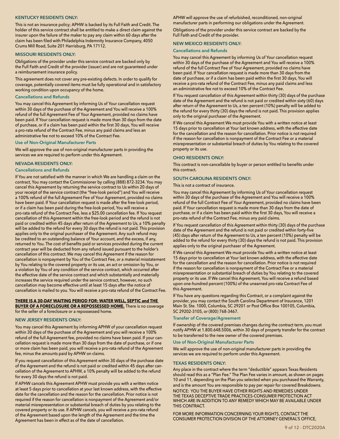#### **KENTUCKY RESIDENTS ONLY:**

This is not an insurance policy; APHW is backed by its Full Faith and Credit. The holder of this service contract shall be entitled to make a direct claim against the insurer upon the failure of the maker to pay any claim within 60 days after the claim has been filed with Philadelphia Indemnity Insurance Company, 4050 Crums Mill Road, Suite 201 Harrisburg, PA 17112.

#### **MISSOURI RESIDENTS ONLY:**

Obligations of the provider under this service contract are backed only by the Full Faith and Credit of the provider (issuer) and are not guaranteed under a reimbursement insurance policy.

This agreement does not cover any pre-existing defects. In order to qualify for coverage, potentially covered items must be fully operational and in satisfactory working condition upon occupancy of the home.

#### **Cancellations and Refunds**

You may cancel this Agreement by informing Us of Your cancellation request within 30 days of the purchase of the Agreement and You will receive a 100% refund of the full Agreement Fee of Your Agreement, provided no claims have been paid. If Your cancellation request is made more than 30 days from the date of purchase, or if a claim has been paid within the first 30 days, You will receive a pro-rata refund of the Contract Fee, minus any paid claims and less an administrative fee not to exceed 10% of the Contract Fee.

#### **Use of Non-Original Manufacturer Parts**

We will approve the use of non-original manufacturer parts in providing the services we are required to perform under this Agreement.

#### **NEVADA RESIDENTS ONLY:**

#### **Cancellations and Refunds**

If You are not satisfied with the manner in which We are handling a claim on the contract, You may contact the Commissioner by calling (888) 872-3234. You may cancel this Agreement by returning the service contract to Us within 20 days of your receipt of the service contract (the "free-look period") and You will receive a 100% refund of the full Agreement Fee of Your Agreement, provided no claims have been paid. If Your cancellation request is made after the free-look period, or if a claim has been paid during the free-look period, You will receive a pro-rata refund of the Contract Fee, less a \$25.00 cancellation fee. If You request cancellation of this Agreement within the free-look period and the refund is not paid or credited within 45 days after return of the Agreement to Us, a 10% penalty will be added to the refund for every 30 days the refund is not paid. This provision applies only to the original purchaser of the Agreement. Any such refund may be credited to an outstanding balance of Your account, and the excess, if any, returned to You. The cost of benefits paid or services provided during the current contract year will be deducted from any refund issued pursuant to the holder's cancellation of this contract. We may cancel this Agreement if the reason for cancellation is nonpayment by You of the Contract Fee, or a material misstatement by You relating to the covered property or its use, an act or omission by You, or a violation by You of any condition of the service contract, which occurred after the effective date of the service contract and which substantially and materially increases the service required under the service contract, however, no such cancellation may become effective until at least 15 days after the notice of cancellation is mailed to you. You will receive a pro-rata refund of the Contract Fee.

#### **THERE IS A 30-DAY WAITING PERIOD FOR: WATER WELL, SEPTIC and THE BUYER OF A FORECLOSURE OR A REPOSSESSED HOME.** There is no coverage

for the seller of a foreclosure or a repossessed home.

#### **NEW JERSEY RESIDENTS ONLY:**

You may cancel this Agreement by informing APHW of your cancellation request within 30 days of the purchase of the Agreement and you will receive a 100% refund of the full Agreement fee, provided no claims have been paid. If your cancellation request is made more than 30 days from the date of purchase, or if one or more claim has been paid, you will receive a pro-rata refund of the Agreement fee, minus the amounts paid by APHW on claims.

If you request cancellation of this Agreement within 30 days of the purchase date of the Agreement and the refund is not paid or credited within 45 days after cancellation of the Agreement to APHW, a 10% penalty will be added to the refund for every 30 days the refund is not paid.

If APHW cancels this Agreement APHW must provide you with a written notice at least 5 days prior to cancellation at your last known address, with the effective date for the cancellation and the reason for the cancellation. Prior notice is not required if the reason for cancellation is nonpayment of the Agreement and/or material misrepresentation or substantial breach of duties by you relating to the covered property or its use. If APHW cancels, you will receive a pro-rata refund of the Agreement based upon the length of the Agreement and the time the Agreement has been in effect as of the date of cancellation.

APHW will approve the use of refurbished, reconditioned, non-original manufacturer parts in performing our obligations under the Agreement. Obligations of the provider under this service contract are backed by the Full Faith and Credit of the provider.

#### **NEW MEXICO RESIDENTS ONLY:**

#### **Cancellations and Refunds**

You may cancel this Agreement by informing Us of Your cancellation request within 30 days of the purchase of the Agreement and You will receive a 100% refund of the full Contract Fee of Your Agreement, provided no claims have been paid. If Your cancellation request is made more than 30 days from the date of purchase, or if a claim has been paid within the first 30 days, You will receive a pro-rata refund of the Contract Fee, minus any paid claims and less an administrative fee not to exceed 10% of the Contract Fee.

If You request cancellation of this Agreement within thirty (30) days of the purchase date of the Agreement and the refund is not paid or credited within sixty (60) days after return of the Agreement to Us, a ten percent (10%) penalty will be added to the refund for every thirty (30) days the refund is not paid. This provision applies only to the original purchaser of the Agreement.

If We cancel this Agreement We must provide You with a written notice at least 15 days prior to cancellation at Your last known address, with the effective date for the cancellation and the reason for cancellation. Prior notice is not required if the reason for cancellation is nonpayment of the Contract Fee or a material misrepresentation or substantial breach of duties by You relating to the covered property or its use.

#### **OHIO RESIDENTS ONLY:**

This contract is non-cancellable by buyer or person entitled to benefits under this contract.

#### **SOUTH CAROLINA RESIDENTS ONLY:**

#### This is not a contract of insurance.

You may cancel this Agreement by informing Us of Your cancellation request within 30 days of the purchase of the Agreement and You will receive a 100% refund of the full Contract Fee of Your Agreement, provided no claims have been paid. If Your cancellation request is made more than 30 days from the date of purchase, or if a claim has been paid within the first 30 days, You will receive a pro-rata refund of the Contract Fee, minus any paid claims.

If You request cancellation of this Agreement within thirty (30) days of the purchase date of the Agreement and the refund is not paid or credited within forty-five (45) days after return of the Agreement to Us, a ten percent (10%) penalty will be added to the refund for every thirty (30) days the refund is not paid. This provision applies only to the original purchaser of the Agreement.

If We cancel this Agreement We must provide You with a written notice at least 15 days prior to cancellation at Your last known address, with the effective date for the cancellation and the reason for cancellation. Prior notice is not required if the reason for cancellation is nonpayment of the Contract Fee or a material misrepresentation or substantial breach of duties by You relating to the covered property or its use. If We cancel this Agreement, You will receive a refund based upon one-hundred percent (100%) of the unearned pro-rata Contract Fee of this Agreement.

If You have any questions regarding this Contract, or a complaint against the provider, you may contact the South Carolina Department of Insurance, 1201 Main St. Ste. 1000, Columbia, SC 29201 or Post Office Box 100105, Columbia, SC 29202-3105, or (800) 768-3467.

#### **Transfer of Coverage/Agreement**

If ownership of the covered premises changes during the contract term, you must notify APHW at 1.800.648.5006, within 30 days of property transfer for the contract to be transferred to the new owner of the covered premises.

#### **Use of Non-Original Manufacturer Parts**

We will approve the use of non-original manufacturer parts in providing the services we are required to perform under this Agreement.

#### **TEXAS RESIDENTS ONLY:**

Any place in the contract where the term "deductible" appears Texas Residents should read this as a "Plan Fee." The Plan Fee varies in amount, as shown on pages 10 and 11, depending on the Plan you selected when you purchased the Warranty, and is the amount You are responsible to pay per repair for covered Breakdowns. NOTICE: YOU THE BUYER HAVE OTHER RIGHTS AND REMEDIES UNDER THE TEXAS DECEPTIVE TRADE PRACTICES-CONSUMER PROTECTION ACT WHICH ARE IN ADDITION TO ANY REMEDY WHICH MAY BE AVAILABLE UNDER THIS CONTRACT.

FOR MORE INFORMATION CONCERNING YOUR RIGHTS, CONTACT THE CONSUMER PROTECTION DIVISION OF THE ATTORNEY GENERAL'S OFFICE,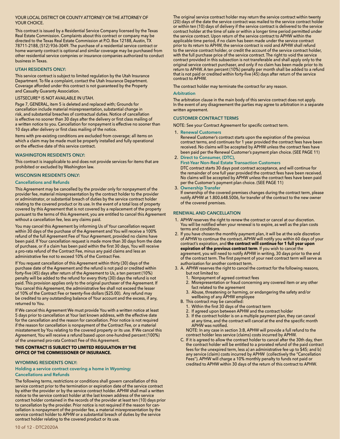#### YOUR LOCAL DISTRICT OR COUNTY ATTORNEY OR THE ATTORNEY OF YOUR CHOICE.

This contract is issued by a Residential Service Company licensed by the Texas Real Estate Commission. Complaints about this contract or company may be directed to the Texas Real Estate Commission at P.O. Box 12188, Austin, TX 78711-2188, (512) 936-3049. The purchase of a residential service contract or home warranty contract is optional and similar coverage may be purchased from other residential service compnies or insurance companies authorized to conduct business in Texas.

#### **UTAH RESIDENTS ONLY:**

This service contract is subject to limited regulation by the Utah Insurance Department. To file a complaint, contact the Utah Insurance Department. Coverage afforded under this contract is not guaranteed by the Property and Casualty Guaranty Association.

#### LISTSECURE® IS NOT AVAILABLE IN UTAH.

Page 7, GENERAL, item 5 is deleted and replaced with; Grounds for cancellation include material misrepresentation, substantial change in risk, and substantial breaches of contractual duties. Notice of cancellation is effective no sooner than 30 days after the delivery or first class mailing of a written notice to you. Cancellation for nonpayment is effective no sooner than 10 days after delivery or first class mailing of the notice.

Items with pre-existing conditions are excluded from coverage; all items on which a claim may be made must be properly installed and fully operational on the effective date of this service contract.

#### **WASHINGTON RESIDENTS ONLY:**

This contract is inapplicable to and does not provide services for items that are prohibited or excluded by Washington law.

#### **WISCONSIN RESIDENTS ONLY:**

#### **Cancellations and Refunds**

This Agreement may be cancelled by the provider only for nonpayment of the provider fee, material misrepresentation by the contract holder to the provider or administrator, or substantial breach of duties by the service contract holder relating to the covered product or its use. In the event of a total loss of property covered by this Agreement that is not covered by a replacement of the property pursuant to the terms of this Agreement, you are entitled to cancel this Agreement without a cancellation fee, less any claims paid.

You may cancel this Agreement by informing Us of Your cancellation request within 30 days of the purchase of the Agreement and You will receive a 100% refund of the full Agreement Fee of Your Agreement, provided no claims have been paid. If Your cancellation request is made more than 30 days from the date of purchase, or if a claim has been paid within the first 30 days, You will receive a pro-rata refund of the Contract Fee, minus any paid claims and less an administrative fee not to exceed 10% of the Contract Fee.

If You request cancellation of this Agreement within thirty (30) days of the purchase date of the Agreement and the refund is not paid or credited within forty-five (45) days after return of the Agreement to Us, a ten percent (10%) penalty will be added to the refund for every thirty (30) days the refund is not paid. This provision applies only to the original purchaser of the Agreement. If You cancel this Agreement, the administrative fee shall not exceed the lesser of 10% of the Contract Fee or twenty-five dollars (\$25.00). Any refund may be credited to any outstanding balance of Your account and the excess, if any, returned to You.

If We cancel this Agreement We must provide You with a written notice at least 5 days prior to cancellation at Your last known address, with the effective date for the cancellation and the reason for cancellation. Prior notice is not required if the reason for cancellation is nonpayment of the Contract Fee, or a material misstatement by You relating to the covered property or its use. If We cancel this Agreement, You will receive a refund based upon one-hundred percent (100%) of the unearned pro-rata Contract Fee of this Agreement.

#### **THIS CONTRACT IS SUBJECT TO LIMITED REGULATION BY THE OFFICE OF THE COMMISSIONER OF INSURANCE.**

#### **WYOMING RESIDENTS ONLY:**

#### **Holding a service contract covering a home in Wyoming: Cancellations and Refunds**

The following terms, restrictions or conditions shall govern cancellation of this service contract prior to the termination or expiration date of the service contract by either the provider or by the service contract holder. APHW shall mail a written notice to the service contract holder at the last known address of the service contract holder contained in the records of the provider at least ten (10) days prior to cancellation by the provider. Prior notice is not required if the reason for cancellation is nonpayment of the provider fee, a material misrepresentation by the service contract holder to APHW or a substantial breach of duties by the service contract holder relating to the covered product or its use.

The contract holder may terminate the contract for any reason.

#### **Arbitration**

The arbitration clause in the main body of this service contract does not apply. In the event of any disagreement the parties may agree to arbitration in a separate written agreement.

#### **CUSTOMER CONTRACT TERMS**

NOTE: See your Contract Agreement for specific contract term.

#### 1. **Renewal Customers**

 Renewal Customer's contract starts upon the expiration of the previous contract terms, and continues for 1 year provided the contract fees have been received. No claims will be accepted by APHW unless the contract fees have been paid per the Renewal Customer's payment plan choice. (SEE PAGE 11)

2. **Direct to Consumer, (DTC),** 

**First-Year Non-Real Estate Transaction Customers** DTC contract starts 30 days post contract acceptance, and will continue for the remainder of one full year provided the contract fees have been received. No claims will be accepted by APHW unless the contract fees have been paid per the Customer's payment plan choice. (SEE PAGE 11)

#### 3. **Ownership Transfer**

If ownership of the covered premises changes during the contract term, please notify APHW at 1.800.648.5006, for transfer of the contract to the new owner of the covered premises.

#### **RENEWAL AND CANCELLATION**

- 1. APHW reserves the right to renew the contract or cancel at our discretion. You will be notified when your renewal is to expire, as well as the plan costs terms and conditions.
- 2. If you have chosen the monthly payment plan, it will be at the sole discretion of APHW to continue the contract. APHW will notify you within 60 days of your contract's expiration, and **the contract will continue for 1 full year upon expiration of the previous contract term**. If you wish to cancel the agreement, you will need to notify APHW in writing, 30 days prior to the end of the contract term. The first payment of your next contract term will serve as authorization for another contract term.
- 3. A. APHW reserves the right to cancel the contract for the following reasons,
	- but not limited to:
	- 1. Nonpayment of agreed contract fees
	- 2. Misrepresentation or fraud concerning any covered item or any other fact related to the agreement
	- 3. Abuse, threatening or harming, or endangering the safety and/or wellbeing of any APHW employee
	- B. This contract may be cancelled:
		- 1. Within the first 30 days of the contract term
		- 2. If agreed upon between APHW and the contract holder
		- 3. If the contract holder is on a multiple payment plan, they can cancel at any time, and the contract will cancel at the end the specific month APHW was notified.

NOTE: In any case in section 3:B, APHW will provide a full refund to the contract holder less service (claims) costs incurred by APHW.

C. If it is agreed to allow the contract holder to cancel after the 30th day, then the contract holder will be entitled to a prorated refund of the paid contract fees for the unexpired term, less a) an administrative fee up to \$45; and b) any service (claim) costs incurred by APHW (collectively the "Cancellation Fees"). APHW will charge a 10% monthly penalty to funds not paid or credited to APHW within 30 days of the return of this contract to APHW.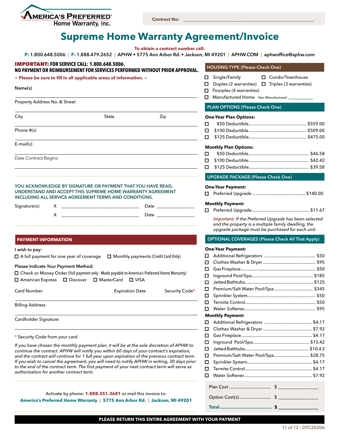

**Contract No: \_\_\_\_\_\_\_\_\_\_\_\_\_\_\_\_\_\_\_\_\_\_\_\_\_\_\_\_\_\_\_\_\_\_\_\_\_\_\_\_\_\_\_\_\_\_\_\_\_\_\_\_\_\_\_\_\_\_\_**

## **Supreme Home Warranty Agreement/Invoice**

**To obtain a contract number call:** 

**P: 1.800.648.5006 | F: 1.888.479.2652 | APHW • 5775 Ann Arbor Rd. • Jackson, MI 49201 | APHW.COM | aphwoffice@aphw.com**

#### **PLAN OPTIONS (Please Check One) One-Year Plan Options:** n \$50 Deductible.................................................. \$559.00 n \$100 Deductible.................................................. \$509.00 n \$125 Deductible.................................................. \$475.00 **Monthly Plan Options:** n \$50 Deductible.................................................... \$46.58 n \$100 Deductible.................................................... \$42.42 n \$125 Deductible.................................................... \$39.58  **HOUSING TYPE (Please Check One)** □ Single/Family □ Condo/Townhouse  $\Box$  Duplex (2 warranties)  $\Box$  Triplex (3 warranties)  $\Box$  Fourplex (4 warranties) n Manufactured Home *Year Manufactured:* \_\_\_\_\_\_\_\_\_\_\_  **UPGRADE PACKAGE (Please Check One) One-Year Payment:** n Preferred Upgrade .............................................. \$140.00 **Monthly Payment:**  n Preferred Upgrade...................................................\$11.67 *Important: If the Preferred Upgrade has been selected and the property is a multiple family dwelling, the upgrade package must be purchased for each unit.* **Name(s)** Property Address No. & Street City State Zip Phone #(s) E-mail(s) Date Contract Begins **YOU ACKNOWLEDGE BY SIGNATURE OR PAYMENT THAT YOU HAVE READ, UNDERSTAND AND ACCEPT THIS SUPREME HOME WARRANTY AGREEMENT INCLUDING ALL SERVICE AGREEMENT TERMS AND CONDITIONS.**  Signature(s) X \_\_\_\_\_\_\_\_\_\_\_\_\_\_\_\_\_\_\_\_\_\_\_\_\_\_\_\_\_\_\_\_\_\_\_ Date \_\_\_\_\_\_\_\_\_\_\_\_\_\_\_\_\_ X \_\_\_\_\_\_\_\_\_\_\_\_\_\_\_\_\_\_\_\_\_\_\_\_\_\_\_\_\_\_\_\_\_\_\_ Date \_\_\_\_\_\_\_\_\_\_\_\_\_\_\_\_\_ **~ Please be sure to fill in all applicable areas of information. ~** IMPORTANT: **FOR SERVICE CALL: 1.800.648.5006. NO PAYMENT OR REIMBURSEMENT FOR SERVICES PERFORMED WITHOUT PRIOR APPROVAL. PAYMENT INFORMATION I wish to pay:**  $\Box$  A full payment for one year of coverage  $\Box$  Monthly payments (Credit Card Only) **Please Indicate Your Payment Method:** n Check or Money Order (Full payment only - Made payable to America's Preferred Home Warranty) □ American Express □ Discover □ MasterCard □ VISA Card Number Expiration Date Security Code\* Billing Address Cardholder Signature *If you have chosen the monthly payment plan, it will be at the sole discretion of APHW to continue the contract. APHW will notify you within 60 days of your contract's expiration,*  \* Security Code from your card  **OPTIONAL COVERAGES (Please Check All That Apply) One-Year Payment:** n Additional Refrigerators .............................................\$50 n Clothes Washer & Dryer ..............................................\$95 n Gas Fireplace..................................................................\$50 n Inground Pool/Spa......................................................\$185 n Jetted Bathtubs............................................................\$125 n Premium/Salt Water Pool/Spa...................................\$345 n Sprinkler System............................................................\$50 n Termite Control..............................................................\$50 n Water Softener...............................................................\$95 **Monthly Payment:** n Additional Refrigerators ..........................................\$4.17 n Clothes Washer & Dryer ...........................................\$7.92 n Gas Fireplace...............................................................\$4.17 n Inground Pool/Spa..................................................\$15.42 n Jetted Bathtubs........................................................\$10.4 2 □ Premium/Salt Water Pool/Spa............................... \$28.75

**PLEASE RETURN THIS ENTIRE AGREEMENT WITH YOUR PAYMENT**

*and the contract will continue for 1 full year upon expiration of the previous contract term. If you wish to cancel the agreement, you will need to notify APHW in writing, 30 days prior to the end of the contract term. The first payment of your next contract term will serve as authorization for another contract term.*

Activate by phone: **1.888.351.3681** or mail this invoice to: **America's Preferred Home Warranty | 5775 Ann Arbor Rd. | Jackson, MI 49201** n Sprinkler System.........................................................\$4.17 n Termite Control...........................................................\$4.17 n Water Softener............................................................\$7.92

Plan Cost .................................... \$ \_\_\_\_\_\_\_\_\_\_\_\_\_\_\_\_\_\_ Option Cost(s) ........................... \$ \_\_\_\_\_\_\_\_\_\_\_\_\_\_\_\_\_\_ **Total....................................... \$ \_\_\_\_\_\_\_\_\_\_\_\_\_\_\_\_\_\_**